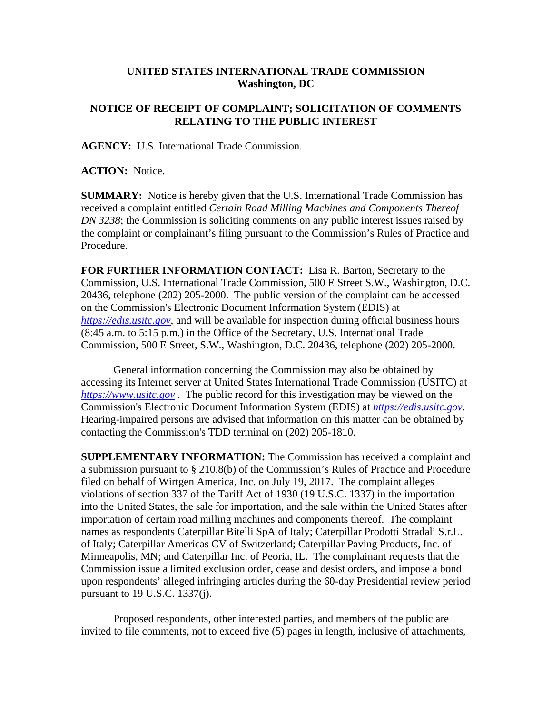## **UNITED STATES INTERNATIONAL TRADE COMMISSION Washington, DC**

## **NOTICE OF RECEIPT OF COMPLAINT; SOLICITATION OF COMMENTS RELATING TO THE PUBLIC INTEREST**

**AGENCY:** U.S. International Trade Commission.

**ACTION:** Notice.

**SUMMARY:** Notice is hereby given that the U.S. International Trade Commission has received a complaint entitled *Certain Road Milling Machines and Components Thereof DN 3238*; the Commission is soliciting comments on any public interest issues raised by the complaint or complainant's filing pursuant to the Commission's Rules of Practice and Procedure.

**FOR FURTHER INFORMATION CONTACT:** Lisa R. Barton, Secretary to the Commission, U.S. International Trade Commission, 500 E Street S.W., Washington, D.C. 20436, telephone (202) 205-2000. The public version of the complaint can be accessed on the Commission's Electronic Document Information System (EDIS) at *https://edis.usitc.gov*, and will be available for inspection during official business hours (8:45 a.m. to 5:15 p.m.) in the Office of the Secretary, U.S. International Trade Commission, 500 E Street, S.W., Washington, D.C. 20436, telephone (202) 205-2000.

General information concerning the Commission may also be obtained by accessing its Internet server at United States International Trade Commission (USITC) at *https://www.usitc.gov* . The public record for this investigation may be viewed on the Commission's Electronic Document Information System (EDIS) at *https://edis.usitc.gov.* Hearing-impaired persons are advised that information on this matter can be obtained by contacting the Commission's TDD terminal on (202) 205-1810.

**SUPPLEMENTARY INFORMATION:** The Commission has received a complaint and a submission pursuant to § 210.8(b) of the Commission's Rules of Practice and Procedure filed on behalf of Wirtgen America, Inc. on July 19, 2017. The complaint alleges violations of section 337 of the Tariff Act of 1930 (19 U.S.C. 1337) in the importation into the United States, the sale for importation, and the sale within the United States after importation of certain road milling machines and components thereof. The complaint names as respondents Caterpillar Bitelli SpA of Italy; Caterpillar Prodotti Stradali S.r.L. of Italy; Caterpillar Americas CV of Switzerland; Caterpillar Paving Products, Inc. of Minneapolis, MN; and Caterpillar Inc. of Peoria, IL. The complainant requests that the Commission issue a limited exclusion order, cease and desist orders, and impose a bond upon respondents' alleged infringing articles during the 60-day Presidential review period pursuant to 19 U.S.C. 1337(j).

Proposed respondents, other interested parties, and members of the public are invited to file comments, not to exceed five (5) pages in length, inclusive of attachments,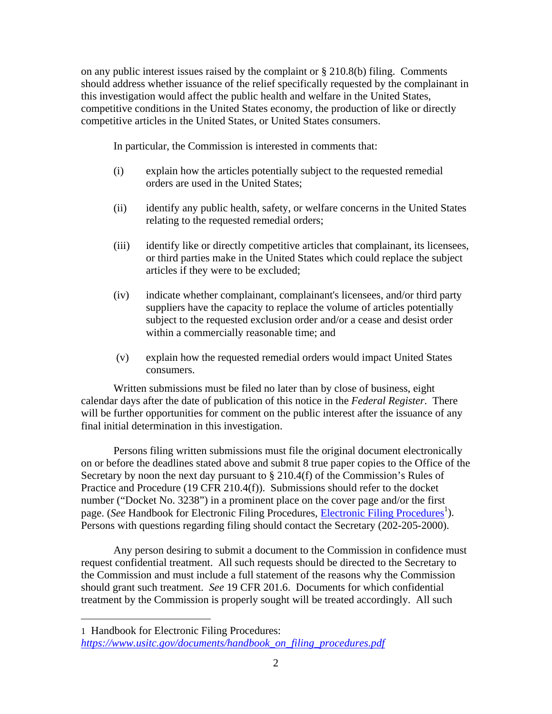on any public interest issues raised by the complaint or § 210.8(b) filing. Comments should address whether issuance of the relief specifically requested by the complainant in this investigation would affect the public health and welfare in the United States, competitive conditions in the United States economy, the production of like or directly competitive articles in the United States, or United States consumers.

In particular, the Commission is interested in comments that:

- (i) explain how the articles potentially subject to the requested remedial orders are used in the United States;
- (ii) identify any public health, safety, or welfare concerns in the United States relating to the requested remedial orders;
- (iii) identify like or directly competitive articles that complainant, its licensees, or third parties make in the United States which could replace the subject articles if they were to be excluded;
- (iv) indicate whether complainant, complainant's licensees, and/or third party suppliers have the capacity to replace the volume of articles potentially subject to the requested exclusion order and/or a cease and desist order within a commercially reasonable time; and
- (v) explain how the requested remedial orders would impact United States consumers.

Written submissions must be filed no later than by close of business, eight calendar days after the date of publication of this notice in the *Federal Register*. There will be further opportunities for comment on the public interest after the issuance of any final initial determination in this investigation.

Persons filing written submissions must file the original document electronically on or before the deadlines stated above and submit 8 true paper copies to the Office of the Secretary by noon the next day pursuant to  $\S 210.4(f)$  of the Commission's Rules of Practice and Procedure (19 CFR 210.4(f)). Submissions should refer to the docket number ("Docket No. 3238") in a prominent place on the cover page and/or the first page. (*See* Handbook for Electronic Filing Procedures, *Electronic Filing Procedures*<sup>1</sup>). Persons with questions regarding filing should contact the Secretary (202-205-2000).

Any person desiring to submit a document to the Commission in confidence must request confidential treatment. All such requests should be directed to the Secretary to the Commission and must include a full statement of the reasons why the Commission should grant such treatment. *See* 19 CFR 201.6. Documents for which confidential treatment by the Commission is properly sought will be treated accordingly. All such

 $\overline{a}$ 

<sup>1</sup> Handbook for Electronic Filing Procedures: *https://www.usitc.gov/documents/handbook\_on\_filing\_procedures.pdf*